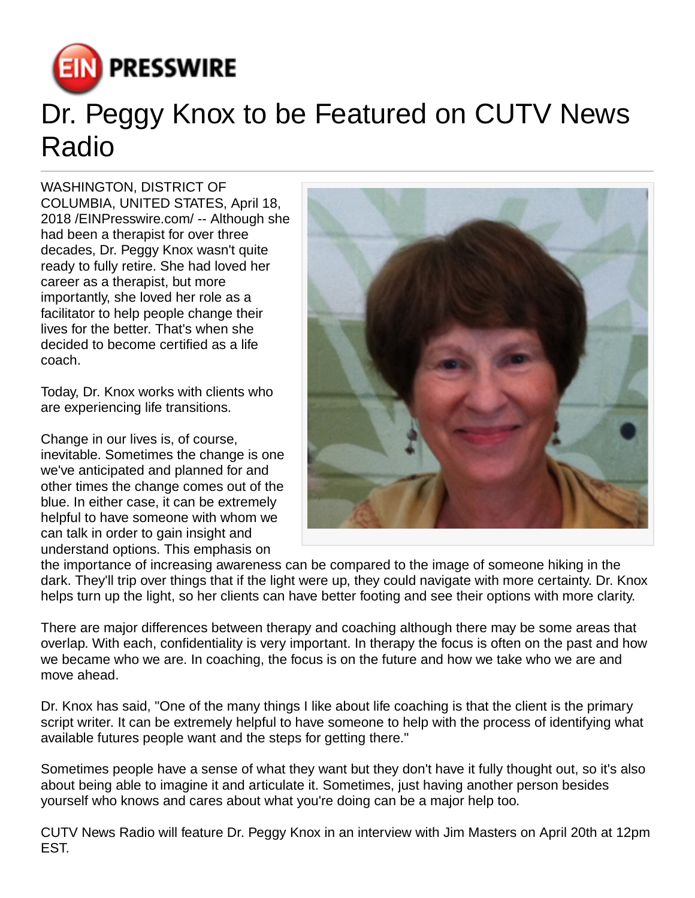

## Dr. Peggy Knox to be Featured on CUTV News Radio

WASHINGTON, DISTRICT OF COLUMBIA, UNITED STATES, April 18, 2018 [/EINPresswire.com](http://www.einpresswire.com)/ -- Although she had been a therapist for over three decades, Dr. Peggy Knox wasn't quite ready to fully retire. She had loved her career as a therapist, but more importantly, she loved her role as a facilitator to help people change their lives for the better. That's when she decided to become certified as a life coach.

Today, Dr. Knox works with clients who are experiencing life transitions.

Change in our lives is, of course, inevitable. Sometimes the change is one we've anticipated and planned for and other times the change comes out of the blue. In either case, it can be extremely helpful to have someone with whom we can talk in order to gain insight and understand options. This emphasis on



the importance of increasing awareness can be compared to the image of someone hiking in the dark. They'll trip over things that if the light were up, they could navigate with more certainty. Dr. Knox helps turn up the light, so her clients can have better footing and see their options with more clarity.

There are major differences between therapy and coaching although there may be some areas that overlap. With each, confidentiality is very important. In therapy the focus is often on the past and how we became who we are. In coaching, the focus is on the future and how we take who we are and move ahead.

Dr. Knox has said, "One of the many things I like about life coaching is that the client is the primary script writer. It can be extremely helpful to have someone to help with the process of identifying what available futures people want and the steps for getting there."

Sometimes people have a sense of what they want but they don't have it fully thought out, so it's also about being able to imagine it and articulate it. Sometimes, just having another person besides yourself who knows and cares about what you're doing can be a major help too.

CUTV News Radio will feature Dr. Peggy Knox in an interview with Jim Masters on April 20th at 12pm EST.